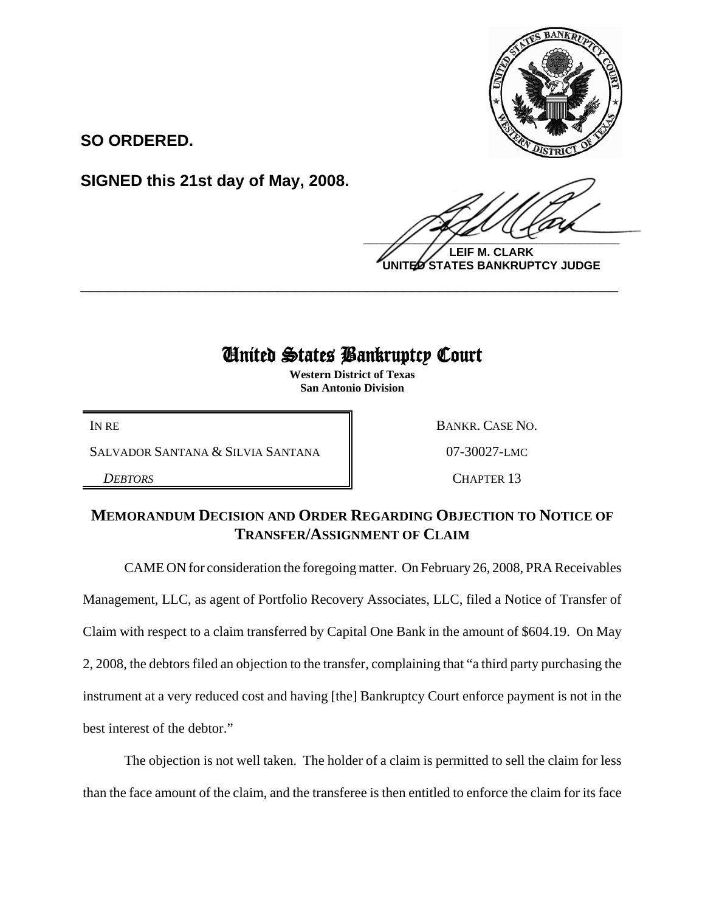

**SO ORDERED.**

**SIGNED this 21st day of May, 2008.**

 $\frac{1}{2}$ 

**LEIF M. CLARK UNITED STATES BANKRUPTCY JUDGE**

## United States Bankruptcy Court

**\_\_\_\_\_\_\_\_\_\_\_\_\_\_\_\_\_\_\_\_\_\_\_\_\_\_\_\_\_\_\_\_\_\_\_\_\_\_\_\_\_\_\_\_\_\_\_\_\_\_\_\_\_\_\_\_\_\_\_\_**

**Western District of Texas San Antonio Division**

SALVADOR SANTANA & SILVIA SANTANA  $\parallel$  07-30027-LMC

IN RE BANKR. CASE NO.

**DEBTORS** CHAPTER 13

## **MEMORANDUM DECISION AND ORDER REGARDING OBJECTION TO NOTICE OF TRANSFER/ASSIGNMENT OF CLAIM**

CAME ON for consideration the foregoing matter. On February 26, 2008, PRA Receivables Management, LLC, as agent of Portfolio Recovery Associates, LLC, filed a Notice of Transfer of Claim with respect to a claim transferred by Capital One Bank in the amount of \$604.19. On May 2, 2008, the debtors filed an objection to the transfer, complaining that "a third party purchasing the instrument at a very reduced cost and having [the] Bankruptcy Court enforce payment is not in the best interest of the debtor."

The objection is not well taken. The holder of a claim is permitted to sell the claim for less than the face amount of the claim, and the transferee is then entitled to enforce the claim for its face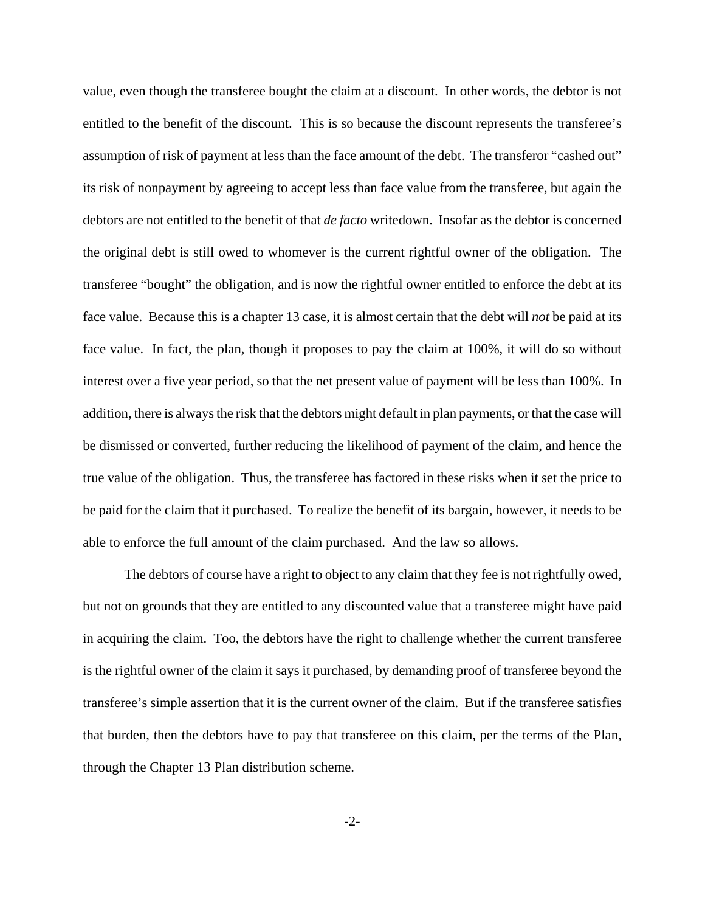value, even though the transferee bought the claim at a discount. In other words, the debtor is not entitled to the benefit of the discount. This is so because the discount represents the transferee's assumption of risk of payment at less than the face amount of the debt. The transferor "cashed out" its risk of nonpayment by agreeing to accept less than face value from the transferee, but again the debtors are not entitled to the benefit of that *de facto* writedown. Insofar as the debtor is concerned the original debt is still owed to whomever is the current rightful owner of the obligation. The transferee "bought" the obligation, and is now the rightful owner entitled to enforce the debt at its face value. Because this is a chapter 13 case, it is almost certain that the debt will *not* be paid at its face value. In fact, the plan, though it proposes to pay the claim at 100%, it will do so without interest over a five year period, so that the net present value of payment will be less than 100%. In addition, there is always the risk that the debtors might default in plan payments, or that the case will be dismissed or converted, further reducing the likelihood of payment of the claim, and hence the true value of the obligation. Thus, the transferee has factored in these risks when it set the price to be paid for the claim that it purchased. To realize the benefit of its bargain, however, it needs to be able to enforce the full amount of the claim purchased. And the law so allows.

The debtors of course have a right to object to any claim that they fee is not rightfully owed, but not on grounds that they are entitled to any discounted value that a transferee might have paid in acquiring the claim. Too, the debtors have the right to challenge whether the current transferee is the rightful owner of the claim it says it purchased, by demanding proof of transferee beyond the transferee's simple assertion that it is the current owner of the claim. But if the transferee satisfies that burden, then the debtors have to pay that transferee on this claim, per the terms of the Plan, through the Chapter 13 Plan distribution scheme.